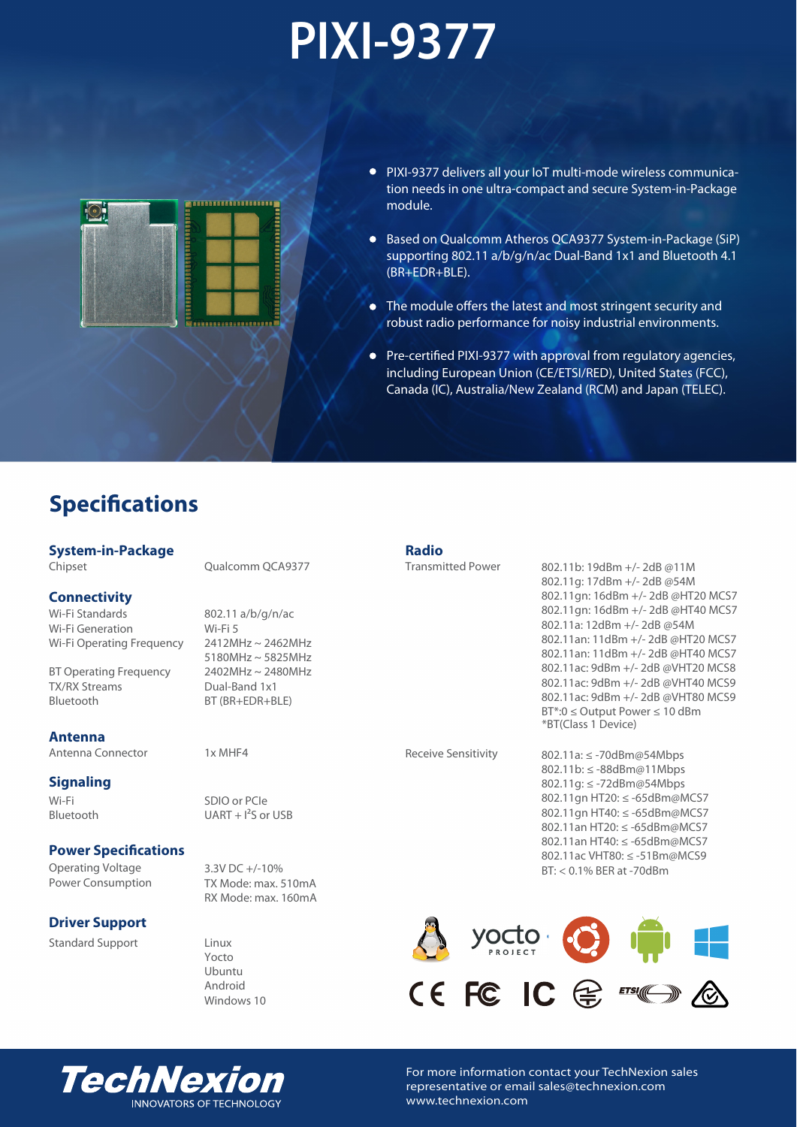# **PIXI-9377**



- PIXI-9377 delivers all your IoT multi-mode wireless communication needs in one ultra-compact and secure System-in-Package module.
- Based on Qualcomm Atheros QCA9377 System-in-Package (SiP) supporting 802.11 a/b/g/n/ac Dual-Band 1x1 and Bluetooth 4.1 (BR+EDR+BLE).
- The module offers the latest and most stringent security and robust radio performance for noisy industrial environments.
- Pre-certified PIXI-9377 with approval from regulatory agencies, including European Union (CE/ETSI/RED), United States (FCC), Canada (IC), Australia/New Zealand (RCM) and Japan (TELEC).

## **Specifications**

### **System-in-Package**

Chipset

### **Connectivity**

Wi-Fi Standards Wi-Fi Generation Wi-Fi Operating Frequency

BT Operating Frequency TX/RX Streams Bluetooth

### **Antenna**

Antenna Connector

### **Signaling**

Wi-Fi Bluetooth

### **Power Specifications**

Operating Voltage Power Consumption

### **Driver Support**

Standard Support

Qualcomm QCA9377

802.11 a/b/g/n/ac Wi-Fi 5 2412MHz ~ 2462MHz 5180MHz ~ 5825MHz 2402MHz ~ 2480MHz Dual-Band 1x1 BT (BR+EDR+BLE)

1x MHF4

SDIO or PCIe  $UART + 1<sup>2</sup>S$  or USB

3.3V DC +/-10% TX Mode: max. 510mA RX Mode: max. 160mA

Linux Yocto Ubuntu Android Windows 10 **Radio**

Transmitted Power

802.11b: 19dBm +/- 2dB @11M 802.11g: 17dBm +/- 2dB @54M 802.11gn: 16dBm +/- 2dB @HT20 MCS7 802.11gn: 16dBm +/- 2dB @HT40 MCS7 802.11a: 12dBm +/- 2dB @54M 802.11an: 11dBm +/- 2dB @HT20 MCS7 802.11an: 11dBm +/- 2dB @HT40 MCS7 802.11ac: 9dBm +/- 2dB @VHT20 MCS8 802.11ac: 9dBm +/- 2dB @VHT40 MCS9 802.11ac: 9dBm +/- 2dB @VHT80 MCS9 BT\*:0 ≤ Output Power ≤ 10 dBm \*BT(Class 1 Device)

Receive Sensitivity

802.11a: ≤ -70dBm@54Mbps 802.11b: ≤ -88dBm@11Mbps 802.11g: ≤ -72dBm@54Mbps 802.11gn HT20: ≤ -65dBm@MCS7 802.11gn HT40: ≤ -65dBm@MCS7 802.11an HT20: ≤ -65dBm@MCS7 802.11an HT40: ≤ -65dBm@MCS7 802.11ac VHT80: ≤ -51Bm@MCS9 BT: < 0.1% BER at -70dBm





For more information contact your TechNexion sales representative or email sales@technexion.com www.technexion.com